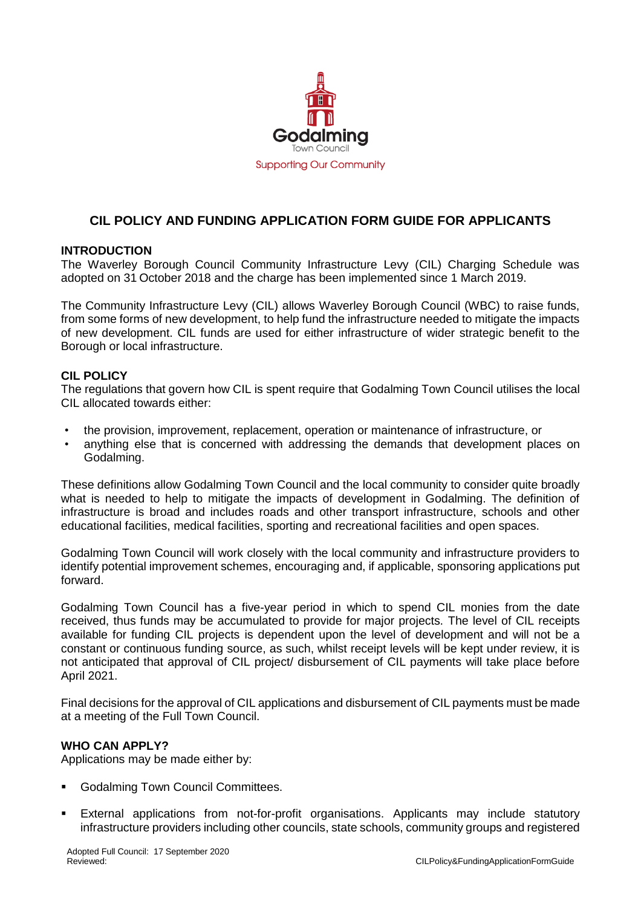

# **CIL POLICY AND FUNDING APPLICATION FORM GUIDE FOR APPLICANTS**

## **INTRODUCTION**

The Waverley Borough Council Community Infrastructure Levy (CIL) Charging Schedule was adopted on 31 October 2018 and the charge has been implemented since 1 March 2019.

The Community Infrastructure Levy (CIL) allows Waverley Borough Council (WBC) to raise funds, from some forms of new development, to help fund the infrastructure needed to mitigate the impacts of new development. CIL funds are used for either infrastructure of wider strategic benefit to the Borough or local infrastructure.

## **CIL POLICY**

The regulations that govern how CIL is spent require that Godalming Town Council utilises the local CIL allocated towards either:

- the provision, improvement, replacement, operation or maintenance of infrastructure, or
- anything else that is concerned with addressing the demands that development places on Godalming.

These definitions allow Godalming Town Council and the local community to consider quite broadly what is needed to help to mitigate the impacts of development in Godalming. The definition of infrastructure is broad and includes roads and other transport infrastructure, schools and other educational facilities, medical facilities, sporting and recreational facilities and open spaces.

Godalming Town Council will work closely with the local community and infrastructure providers to identify potential improvement schemes, encouraging and, if applicable, sponsoring applications put forward.

Godalming Town Council has a five-year period in which to spend CIL monies from the date received, thus funds may be accumulated to provide for major projects. The level of CIL receipts available for funding CIL projects is dependent upon the level of development and will not be a constant or continuous funding source, as such, whilst receipt levels will be kept under review, it is not anticipated that approval of CIL project/ disbursement of CIL payments will take place before April 2021.

Final decisions for the approval of CIL applications and disbursement of CIL payments must be made at a meeting of the Full Town Council.

## **WHO CAN APPLY?**

Applications may be made either by:

- Godalming Town Council Committees.
- External applications from not-for-profit organisations. Applicants may include statutory infrastructure providers including other councils, state schools, community groups and registered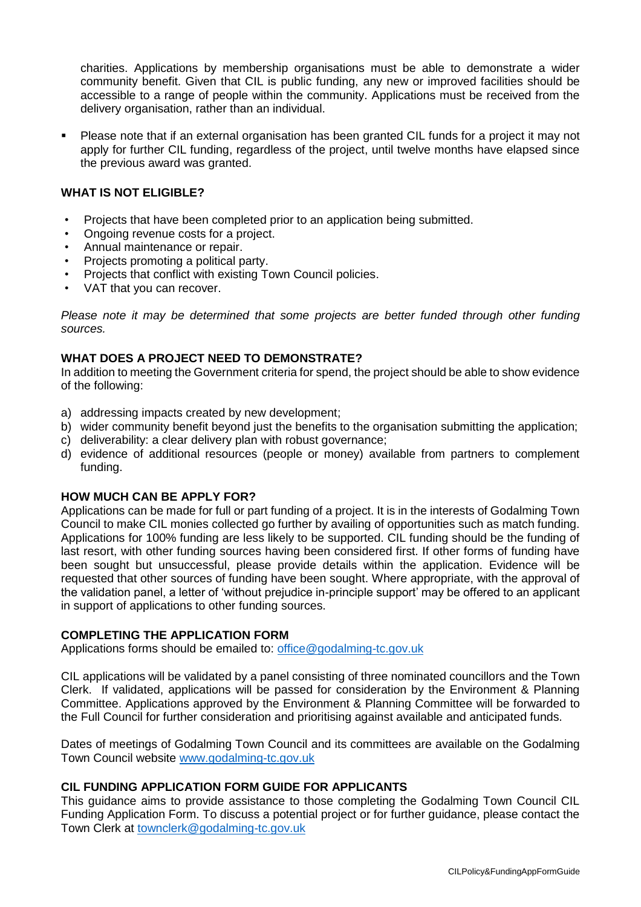charities. Applications by membership organisations must be able to demonstrate a wider community benefit. Given that CIL is public funding, any new or improved facilities should be accessible to a range of people within the community. Applications must be received from the delivery organisation, rather than an individual.

 Please note that if an external organisation has been granted CIL funds for a project it may not apply for further CIL funding, regardless of the project, until twelve months have elapsed since the previous award was granted.

## **WHAT IS NOT ELIGIBLE?**

- Projects that have been completed prior to an application being submitted.
- Ongoing revenue costs for a project.
- Annual maintenance or repair.
- Projects promoting a political party.
- Projects that conflict with existing Town Council policies.
- VAT that you can recover.

*Please note it may be determined that some projects are better funded through other funding sources.*

## **WHAT DOES A PROJECT NEED TO DEMONSTRATE?**

In addition to meeting the Government criteria for spend, the project should be able to show evidence of the following:

- a) addressing impacts created by new development;
- b) wider community benefit beyond just the benefits to the organisation submitting the application;
- c) deliverability: a clear delivery plan with robust governance;
- d) evidence of additional resources (people or money) available from partners to complement funding.

## **HOW MUCH CAN BE APPLY FOR?**

Applications can be made for full or part funding of a project. It is in the interests of Godalming Town Council to make CIL monies collected go further by availing of opportunities such as match funding. Applications for 100% funding are less likely to be supported. CIL funding should be the funding of last resort, with other funding sources having been considered first. If other forms of funding have been sought but unsuccessful, please provide details within the application. Evidence will be requested that other sources of funding have been sought. Where appropriate, with the approval of the validation panel, a letter of 'without prejudice in-principle support' may be offered to an applicant in support of applications to other funding sources.

## **COMPLETING THE APPLICATION FORM**

Applications forms should be emailed to: [office@godalming-tc.gov.uk](mailto:office@godalming-tc.gov.uk)

CIL applications will be validated by a panel consisting of three nominated councillors and the Town Clerk. If validated, applications will be passed for consideration by the Environment & Planning Committee. Applications approved by the Environment & Planning Committee will be forwarded to the Full Council for further consideration and prioritising against available and anticipated funds.

Dates of meetings of Godalming Town Council and its committees are available on the Godalming Town Council website [www.godalming-tc.gov.uk](http://www.godalming-tc.gov.uk/)

## **CIL FUNDING APPLICATION FORM GUIDE FOR APPLICANTS**

This guidance aims to provide assistance to those completing the Godalming Town Council CIL Funding Application Form. To discuss a potential project or for further guidance, please contact the Town Clerk at [townclerk@godalming-tc.gov.uk](mailto:townclerk@godalming-tc.gov.uk)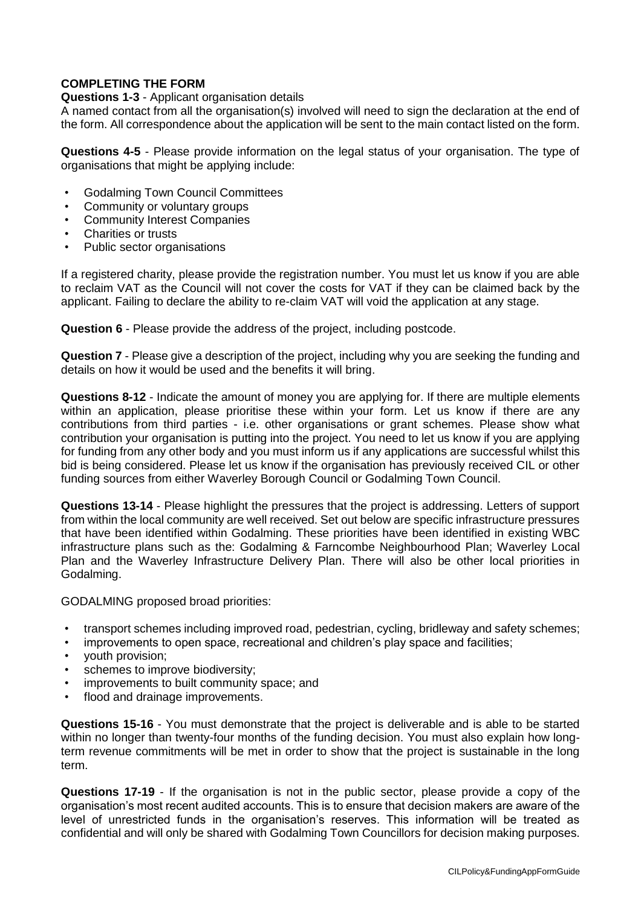## **COMPLETING THE FORM**

### **Questions 1-3** - Applicant organisation details

A named contact from all the organisation(s) involved will need to sign the declaration at the end of the form. All correspondence about the application will be sent to the main contact listed on the form.

**Questions 4-5** - Please provide information on the legal status of your organisation. The type of organisations that might be applying include:

- Godalming Town Council Committees
- Community or voluntary groups
- Community Interest Companies
- Charities or trusts
- Public sector organisations

If a registered charity, please provide the registration number. You must let us know if you are able to reclaim VAT as the Council will not cover the costs for VAT if they can be claimed back by the applicant. Failing to declare the ability to re-claim VAT will void the application at any stage.

**Question 6** - Please provide the address of the project, including postcode.

**Question 7** - Please give a description of the project, including why you are seeking the funding and details on how it would be used and the benefits it will bring.

**Questions 8-12** - Indicate the amount of money you are applying for. If there are multiple elements within an application, please prioritise these within your form. Let us know if there are any contributions from third parties - i.e. other organisations or grant schemes. Please show what contribution your organisation is putting into the project. You need to let us know if you are applying for funding from any other body and you must inform us if any applications are successful whilst this bid is being considered. Please let us know if the organisation has previously received CIL or other funding sources from either Waverley Borough Council or Godalming Town Council.

**Questions 13-14** - Please highlight the pressures that the project is addressing. Letters of support from within the local community are well received. Set out below are specific infrastructure pressures that have been identified within Godalming. These priorities have been identified in existing WBC infrastructure plans such as the: Godalming & Farncombe Neighbourhood Plan; Waverley Local Plan and the Waverley Infrastructure Delivery Plan. There will also be other local priorities in Godalming.

GODALMING proposed broad priorities:

- transport schemes including improved road, pedestrian, cycling, bridleway and safety schemes;
- improvements to open space, recreational and children's play space and facilities;
- youth provision;
- schemes to improve biodiversity;
- improvements to built community space; and
- flood and drainage improvements.

**Questions 15-16** - You must demonstrate that the project is deliverable and is able to be started within no longer than twenty-four months of the funding decision. You must also explain how longterm revenue commitments will be met in order to show that the project is sustainable in the long term.

**Questions 17-19** - If the organisation is not in the public sector, please provide a copy of the organisation's most recent audited accounts. This is to ensure that decision makers are aware of the level of unrestricted funds in the organisation's reserves. This information will be treated as confidential and will only be shared with Godalming Town Councillors for decision making purposes.